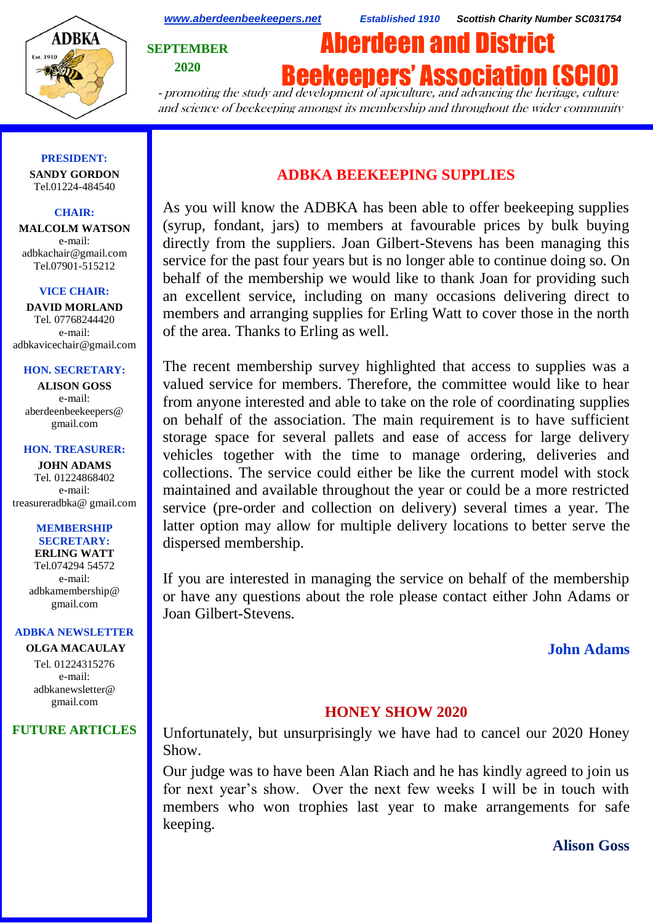

*[www.aberdeenbeekeepers.net](http://www.aberdeenbeekeepers.net/) Established 1910 Scottish Charity Number SC031754*

**SEPTEMBER 2020**

# Aberdeen and District **Beekeeners' Association (SCI**

- promoting the study and development of apiculture, and advancing the heritage, culture and science of beekeeping amongst its membership and throughout the wider community

### **PRESIDENT: SANDY GORDON**

Tel.01224-484540

### **CHAIR:**

**MALCOLM WATSON** e-mail: adbkachair@gmail.com Tel.07901-515212

### **VICE CHAIR:**

**DAVID MORLAND** Tel. 07768244420 e-mail: adbkavicechair@gmail.com

#### **HON. SECRETARY:**

**ALISON GOSS**  e-mail: aberdeenbeekeepers@ gmail.com

#### **HON. TREASURER:**

**JOHN ADAMS** Tel. 01224868402 e-mail: [treasureradbka@ gmail.com](https://e.mail.ru/compose/?mailto=mailto%3atreasureradbka@gmail.com)

#### **MEMBERSHIP SECRETARY:**

**ERLING WATT** Tel.074294 54572 e-mail: [adbkamembership@](mailto:watterlingg@aol.com) [gmail.com](mailto:watterlingg@aol.com)

#### **ADBKA NEWSLETTER**

**OLGA MACAULAY** Tel. 01224315276 e-mail: adbkanewsletter@ gmail.com

# **FUTURE ARTICLES**

# **ADBKA BEEKEEPING SUPPLIES**

As you will know the ADBKA has been able to offer beekeeping supplies (syrup, fondant, jars) to members at favourable prices by bulk buying directly from the suppliers. Joan Gilbert-Stevens has been managing this service for the past four years but is no longer able to continue doing so. On behalf of the membership we would like to thank Joan for providing such an excellent service, including on many occasions delivering direct to members and arranging supplies for Erling Watt to cover those in the north of the area. Thanks to Erling as well.

The recent membership survey highlighted that access to supplies was a valued service for members. Therefore, the committee would like to hear from anyone interested and able to take on the role of coordinating supplies on behalf of the association. The main requirement is to have sufficient storage space for several pallets and ease of access for large delivery vehicles together with the time to manage ordering, deliveries and collections. The service could either be like the current model with stock maintained and available throughout the year or could be a more restricted service (pre-order and collection on delivery) several times a year. The latter option may allow for multiple delivery locations to better serve the dispersed membership.

If you are interested in managing the service on behalf of the membership or have any questions about the role please contact either John Adams or Joan Gilbert-Stevens.

# **John Adams**

# **HONEY SHOW 2020**

Unfortunately, but unsurprisingly we have had to cancel our 2020 Honey Show.

Our judge was to have been Alan Riach and he has kindly agreed to join us for next year's show. Over the next few weeks I will be in touch with members who won trophies last year to make arrangements for safe keeping.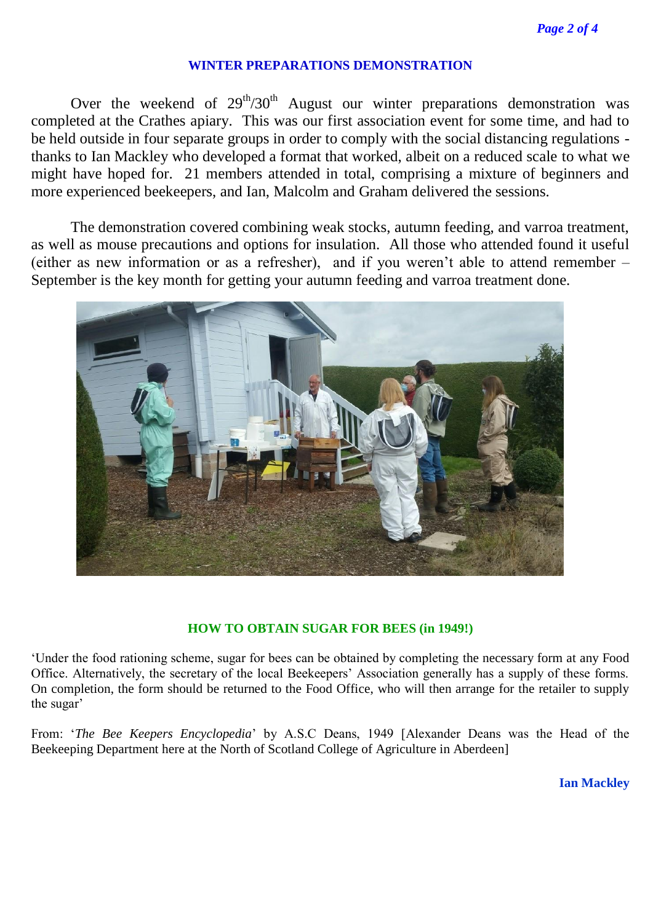### **WINTER PREPARATIONS DEMONSTRATION**

Over the weekend of  $29<sup>th</sup>/30<sup>th</sup>$  August our winter preparations demonstration was completed at the Crathes apiary. This was our first association event for some time, and had to be held outside in four separate groups in order to comply with the social distancing regulations thanks to Ian Mackley who developed a format that worked, albeit on a reduced scale to what we might have hoped for. 21 members attended in total, comprising a mixture of beginners and more experienced beekeepers, and Ian, Malcolm and Graham delivered the sessions.

The demonstration covered combining weak stocks, autumn feeding, and varroa treatment, as well as mouse precautions and options for insulation. All those who attended found it useful (either as new information or as a refresher), and if you weren't able to attend remember – September is the key month for getting your autumn feeding and varroa treatment done.



### **HOW TO OBTAIN SUGAR FOR BEES (in 1949!)**

'Under the food rationing scheme, sugar for bees can be obtained by completing the necessary form at any Food Office. Alternatively, the secretary of the local Beekeepers' Association generally has a supply of these forms. On completion, the form should be returned to the Food Office, who will then arrange for the retailer to supply the sugar'

From: '*The Bee Keepers Encyclopedia*' by A.S.C Deans, 1949 [Alexander Deans was the Head of the Beekeeping Department here at the North of Scotland College of Agriculture in Aberdeen]

**Ian Mackley**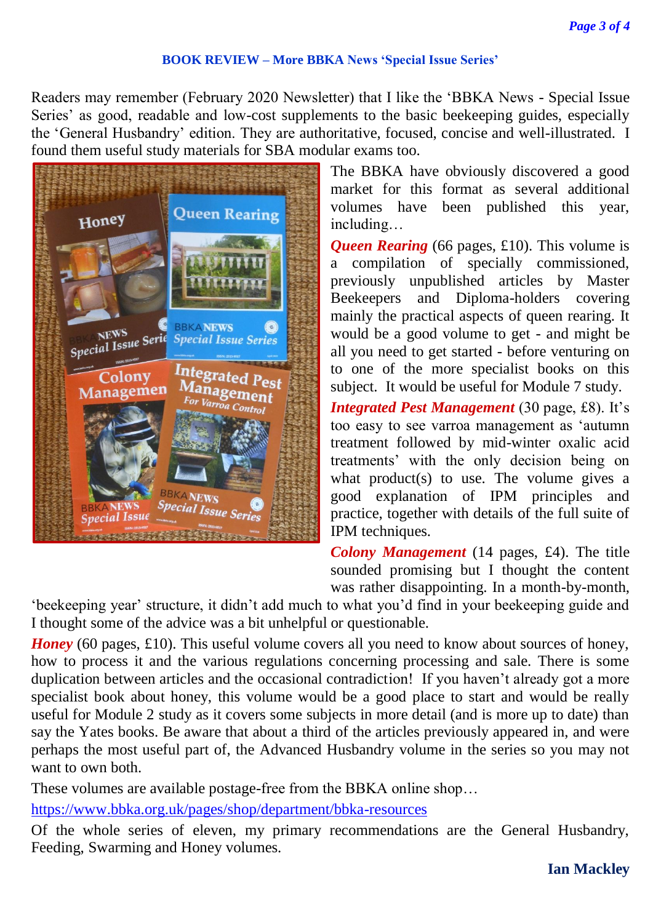# **BOOK REVIEW – More BBKA News 'Special Issue Series'**

Readers may remember (February 2020 Newsletter) that I like the 'BBKA News - Special Issue Series' as good, readable and low-cost supplements to the basic beekeeping guides, especially the 'General Husbandry' edition. They are authoritative, focused, concise and well-illustrated. I found them useful study materials for SBA modular exams too.



The BBKA have obviously discovered a good market for this format as several additional volumes have been published this year, including…

*Queen Rearing* (66 pages, £10). This volume is a compilation of specially commissioned, previously unpublished articles by Master Beekeepers and Diploma-holders covering mainly the practical aspects of queen rearing. It would be a good volume to get - and might be all you need to get started - before venturing on to one of the more specialist books on this subject. It would be useful for Module 7 study.

*Integrated Pest Management* (30 page, £8). It's too easy to see varroa management as 'autumn treatment followed by mid-winter oxalic acid treatments' with the only decision being on what product(s) to use. The volume gives a good explanation of IPM principles and practice, together with details of the full suite of IPM techniques.

*Colony Management* (14 pages, £4). The title sounded promising but I thought the content was rather disappointing. In a month-by-month,

'beekeeping year' structure, it didn't add much to what you'd find in your beekeeping guide and I thought some of the advice was a bit unhelpful or questionable.

*Honey* (60 pages, £10). This useful volume covers all you need to know about sources of honey, how to process it and the various regulations concerning processing and sale. There is some duplication between articles and the occasional contradiction! If you haven't already got a more specialist book about honey, this volume would be a good place to start and would be really useful for Module 2 study as it covers some subjects in more detail (and is more up to date) than say the Yates books. Be aware that about a third of the articles previously appeared in, and were perhaps the most useful part of, the Advanced Husbandry volume in the series so you may not want to own both.

These volumes are available postage-free from the BBKA online shop…

<https://www.bbka.org.uk/pages/shop/department/bbka-resources>

Of the whole series of eleven, my primary recommendations are the General Husbandry, Feeding, Swarming and Honey volumes.